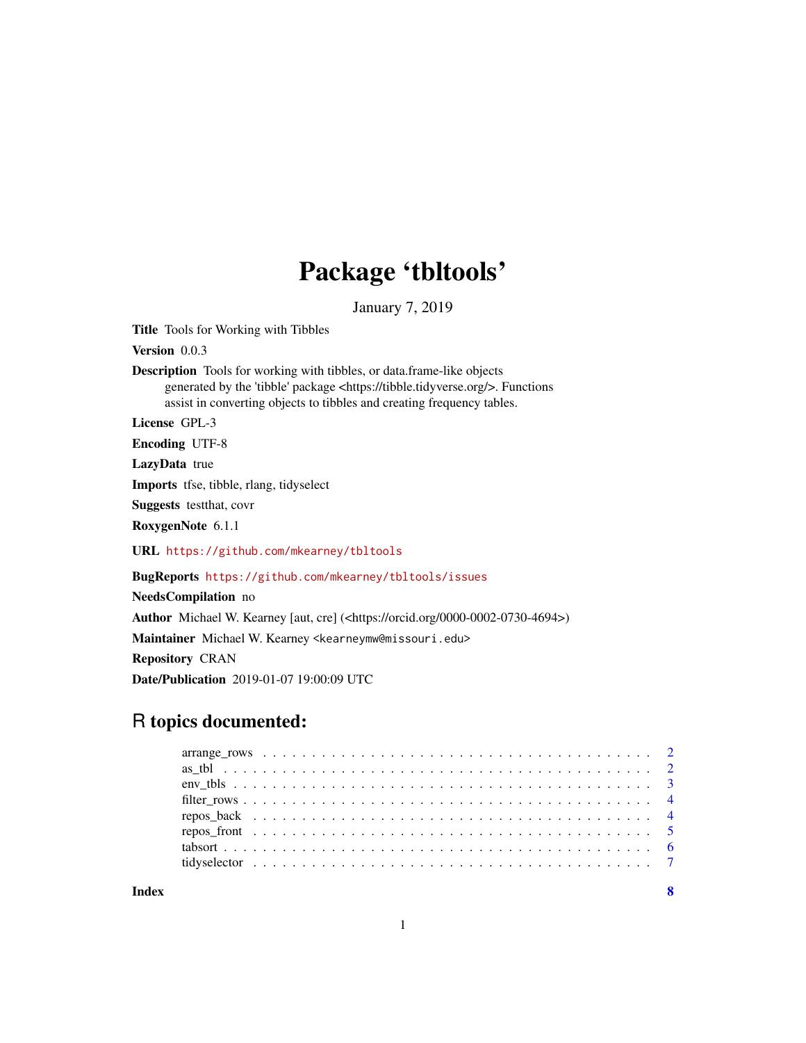# Package 'tbltools'

January 7, 2019

<span id="page-0-0"></span>Title Tools for Working with Tibbles

Version 0.0.3

Description Tools for working with tibbles, or data.frame-like objects generated by the 'tibble' package <https://tibble.tidyverse.org/>. Functions assist in converting objects to tibbles and creating frequency tables.

License GPL-3

Encoding UTF-8

LazyData true

Imports tfse, tibble, rlang, tidyselect

Suggests testthat, covr

RoxygenNote 6.1.1

URL <https://github.com/mkearney/tbltools>

BugReports <https://github.com/mkearney/tbltools/issues>

NeedsCompilation no

Author Michael W. Kearney [aut, cre] (<https://orcid.org/0000-0002-0730-4694>)

Maintainer Michael W. Kearney <kearneymw@missouri.edu>

Repository CRAN

Date/Publication 2019-01-07 19:00:09 UTC

# R topics documented:

**Index** [8](#page-7-0) **8**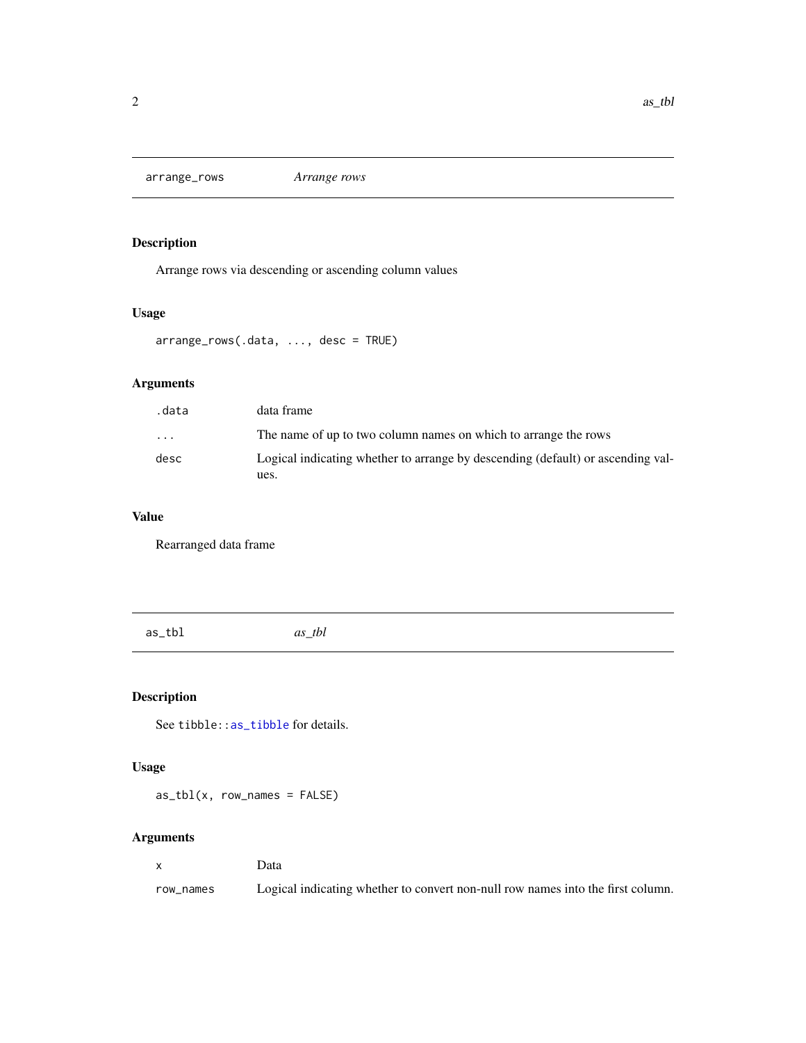<span id="page-1-0"></span>arrange\_rows *Arrange rows*

# Description

Arrange rows via descending or ascending column values

#### Usage

```
arrange_rows(.data, ..., desc = TRUE)
```
# Arguments

| .data                   | data frame                                                                      |
|-------------------------|---------------------------------------------------------------------------------|
| $\cdot$ $\cdot$ $\cdot$ | The name of up to two column names on which to arrange the rows                 |
| desc                    | Logical indicating whether to arrange by descending (default) or ascending val- |
|                         | ues.                                                                            |

#### Value

Rearranged data frame

as\_tbl *as\_tbl*

# Description

See tibble:[:as\\_tibble](#page-0-0) for details.

#### Usage

 $as_tbl(x, row_names = FALSE)$ 

#### Arguments

x Data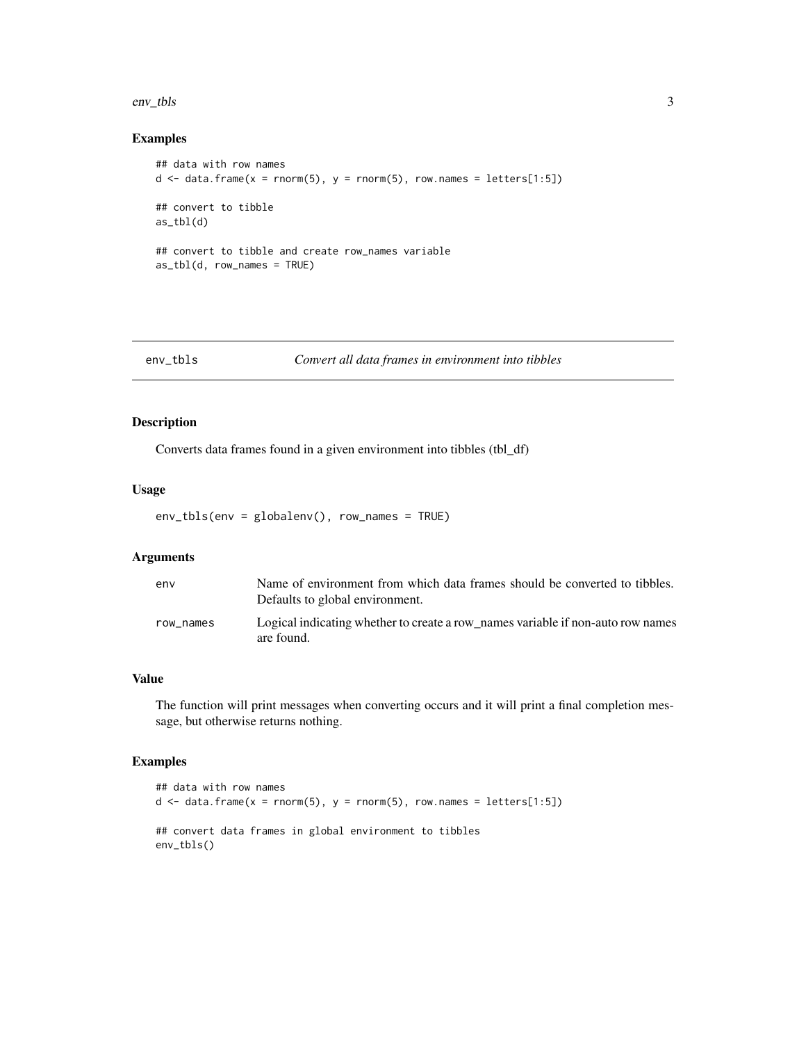<span id="page-2-0"></span>env\_tbls 3

#### Examples

```
## data with row names
d \leq data.frame(x = rnorm(5), y = rnorm(5), row.names = letters[1:5])
## convert to tibble
as_{tbl(d)}## convert to tibble and create row_names variable
as_tbl(d, row_names = TRUE)
```

| env_tbls | Convert all data frames in environment into tibbles |
|----------|-----------------------------------------------------|
|----------|-----------------------------------------------------|

#### Description

Converts data frames found in a given environment into tibbles (tbl\_df)

#### Usage

env\_tbls(env = globalenv(), row\_names = TRUE)

#### Arguments

| env       | Name of environment from which data frames should be converted to tibbles.<br>Defaults to global environment. |
|-----------|---------------------------------------------------------------------------------------------------------------|
| row names | Logical indicating whether to create a row names variable if non-auto row names<br>are found.                 |

#### Value

The function will print messages when converting occurs and it will print a final completion message, but otherwise returns nothing.

```
## data with row names
d \leq - data.frame(x = rnorm(5), y = rnorm(5), row.names = letters[1:5])
## convert data frames in global environment to tibbles
env_tbls()
```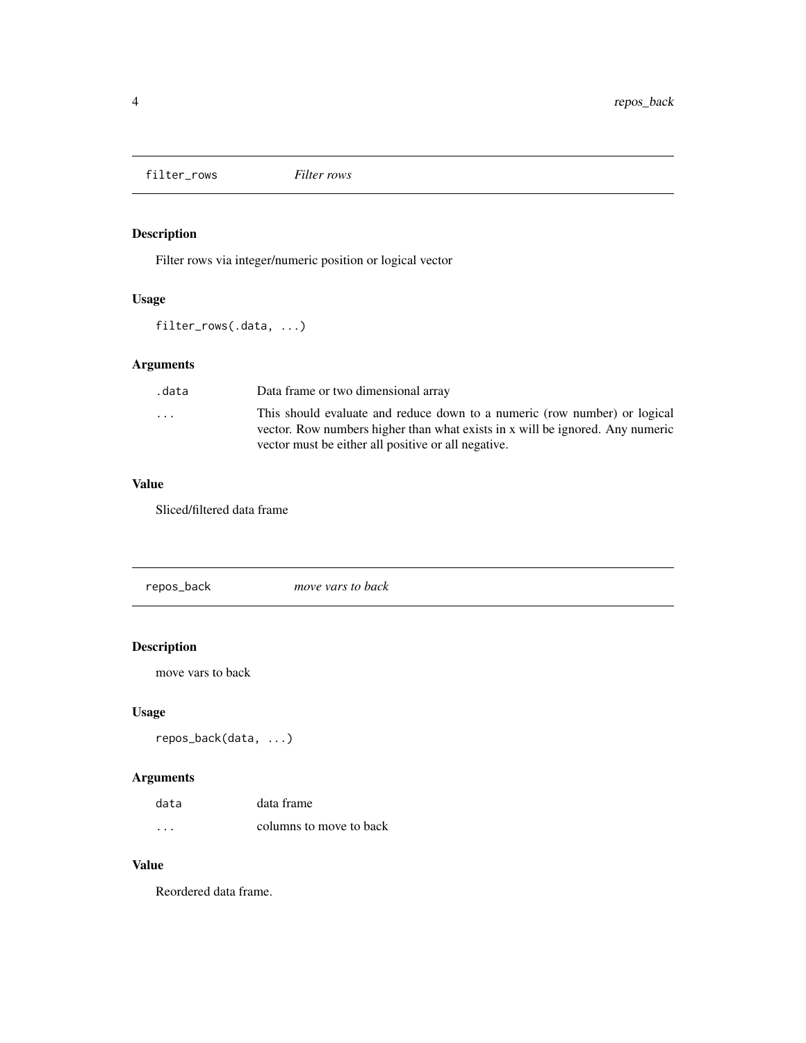<span id="page-3-0"></span>filter\_rows *Filter rows*

# Description

Filter rows via integer/numeric position or logical vector

# Usage

filter\_rows(.data, ...)

# Arguments

| .data                   | Data frame or two dimensional array                                                                                                                                                                               |
|-------------------------|-------------------------------------------------------------------------------------------------------------------------------------------------------------------------------------------------------------------|
| $\cdot$ $\cdot$ $\cdot$ | This should evaluate and reduce down to a numeric (row number) or logical<br>vector. Row numbers higher than what exists in x will be ignored. Any numeric<br>vector must be either all positive or all negative. |
|                         |                                                                                                                                                                                                                   |

#### Value

Sliced/filtered data frame

repos\_back *move vars to back*

# Description

move vars to back

# Usage

```
repos_back(data, ...)
```
# Arguments

| data     | data frame              |
|----------|-------------------------|
| $\cdots$ | columns to move to back |

#### Value

Reordered data frame.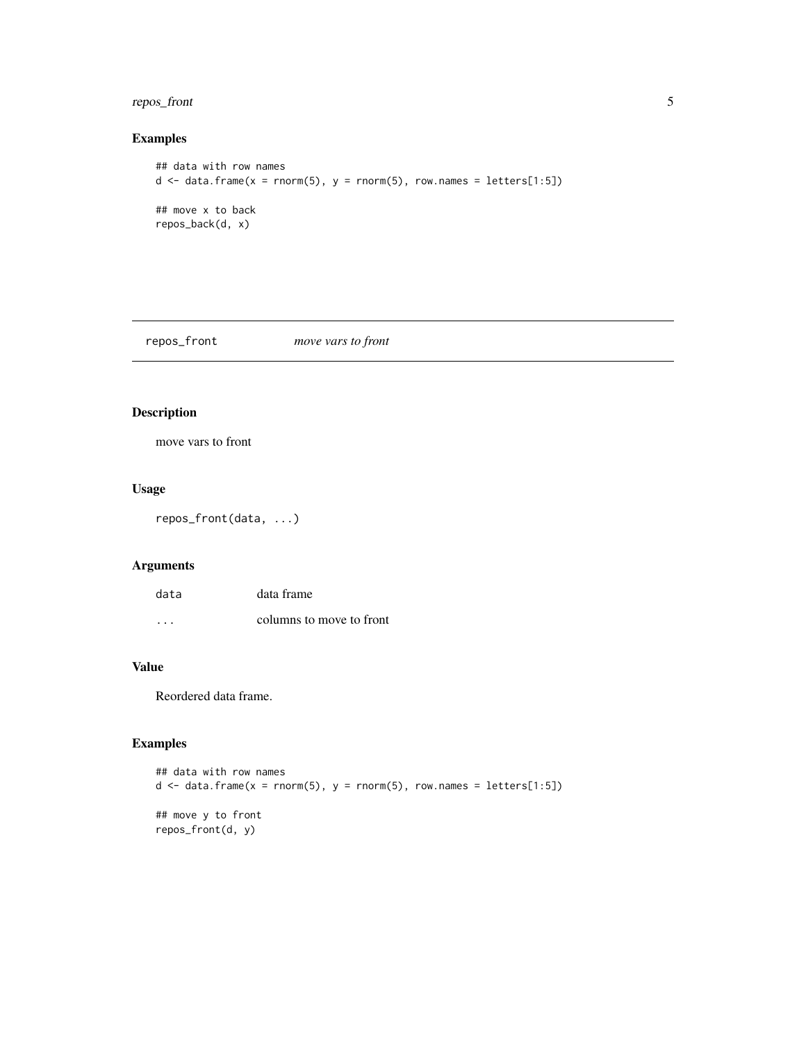# <span id="page-4-0"></span>repos\_front 5

## Examples

```
## data with row names
d \leq data.frame(x = rnorm(5), y = rnorm(5), row.names = letters[1:5])
## move x to back
repos_back(d, x)
```
repos\_front *move vars to front*

# Description

move vars to front

#### Usage

repos\_front(data, ...)

# Arguments

| data | data frame               |
|------|--------------------------|
| .    | columns to move to front |

# Value

Reordered data frame.

```
## data with row names
d \leq data.frame(x = rnorm(5), y = rnorm(5), row.names = letters[1:5])
## move y to front
repos_front(d, y)
```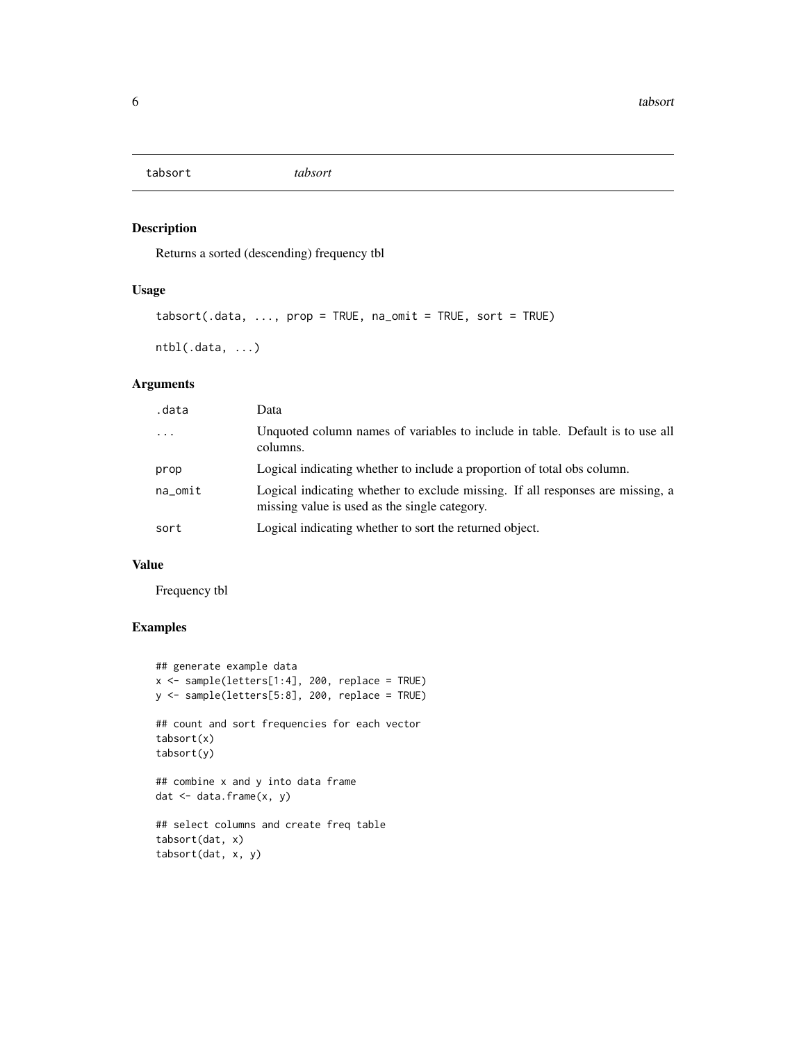<span id="page-5-0"></span>tabsort *tabsort*

#### Description

Returns a sorted (descending) frequency tbl

# Usage

```
tabsort(.data, ..., prop = TRUE, na_omit = TRUE, sort = TRUE)
```

```
ntbl(.data, ...)
```
# Arguments

| .data     | Data                                                                                                                            |
|-----------|---------------------------------------------------------------------------------------------------------------------------------|
| $\ddotsc$ | Unquoted column names of variables to include in table. Default is to use all<br>columns.                                       |
| prop      | Logical indicating whether to include a proportion of total obs column.                                                         |
| na omit   | Logical indicating whether to exclude missing. If all responses are missing, a<br>missing value is used as the single category. |
| sort      | Logical indicating whether to sort the returned object.                                                                         |

# Value

Frequency tbl

```
## generate example data
x <- sample(letters[1:4], 200, replace = TRUE)
y <- sample(letters[5:8], 200, replace = TRUE)
## count and sort frequencies for each vector
tabsort(x)
tabsort(y)
## combine x and y into data frame
dat <- data.frame(x, y)
## select columns and create freq table
tabsort(dat, x)
tabsort(dat, x, y)
```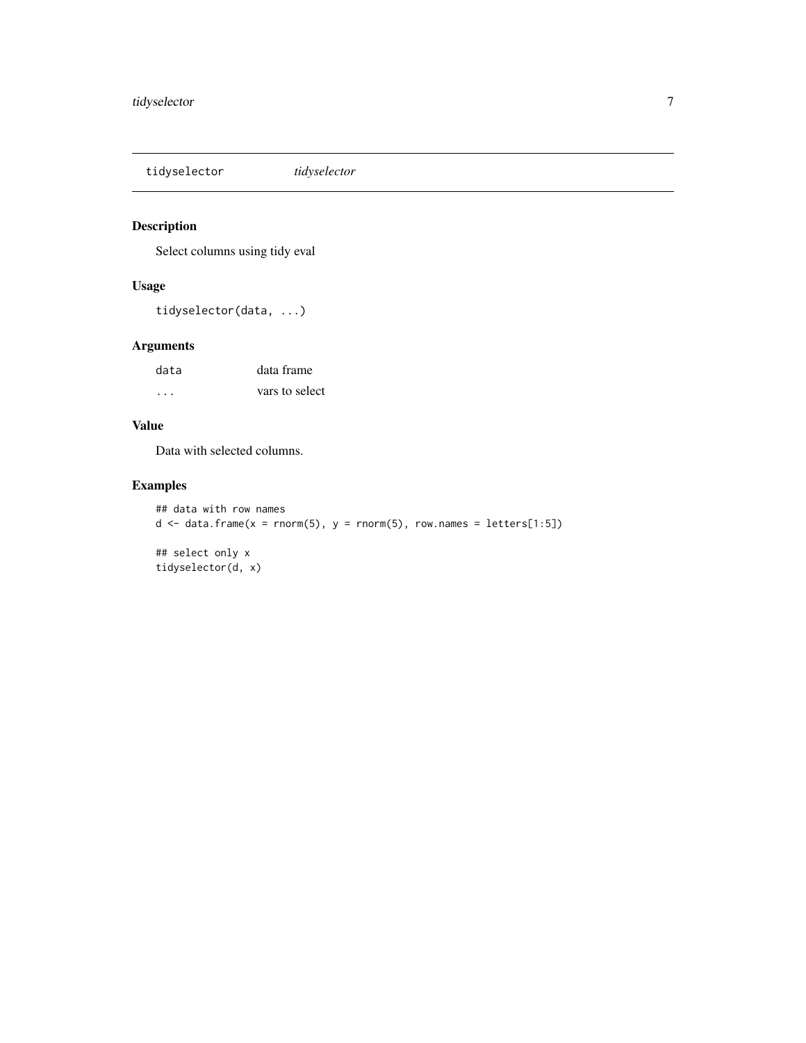<span id="page-6-0"></span>tidyselector *tidyselector*

# Description

Select columns using tidy eval

#### Usage

tidyselector(data, ...)

#### Arguments

| data | data frame     |
|------|----------------|
| .    | vars to select |

# Value

Data with selected columns.

```
## data with row names
d \leq data.frame(x = rnorm(5), y = rnorm(5), row.names = letters[1:5])
## select only x
tidyselector(d, x)
```